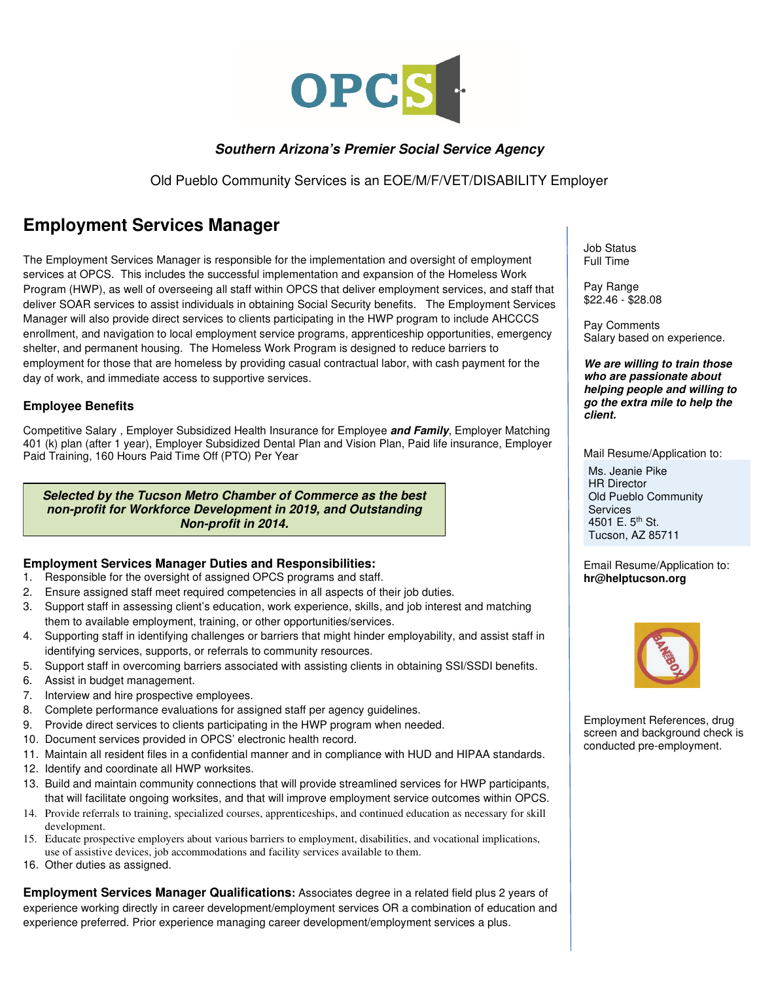

## **Southern Arizona's Premier Social Service Agency**

Old Pueblo Community Services is an EOE/M/F/VET/DISABILITY Employer

## **Employment Services Manager**

The Employment Services Manager is responsible for the implementation and oversight of employment services at OPCS. This includes the successful implementation and expansion of the Homeless Work Program (HWP), as well of overseeing all staff within OPCS that deliver employment services, and staff that deliver SOAR services to assist individuals in obtaining Social Security benefits. The Employment Services Manager will also provide direct services to clients participating in the HWP program to include AHCCCS enrollment, and navigation to local employment service programs, apprenticeship opportunities, emergency shelter, and permanent housing. The Homeless Work Program is designed to reduce barriers to employment for those that are homeless by providing casual contractual labor, with cash payment for the day of work, and immediate access to supportive services.

## **Employee Benefits**

Competitive Salary , Employer Subsidized Health Insurance for Employee **and Family**, Employer Matching 401 (k) plan (after 1 year), Employer Subsidized Dental Plan and Vision Plan, Paid life insurance, Employer Paid Training, 160 Hours Paid Time Off (PTO) Per Year

**Selected by the Tucson Metro Chamber of Commerce as the best non-profit for Workforce Development in 2019, and Outstanding Non-profit in 2014.** 

## **Employment Services Manager Duties and Responsibilities:**

- 1. Responsible for the oversight of assigned OPCS programs and staff.
- 2. Ensure assigned staff meet required competencies in all aspects of their job duties.
- 3. Support staff in assessing client's education, work experience, skills, and job interest and matching them to available employment, training, or other opportunities/services.
- 4. Supporting staff in identifying challenges or barriers that might hinder employability, and assist staff in identifying services, supports, or referrals to community resources.
- 5. Support staff in overcoming barriers associated with assisting clients in obtaining SSI/SSDI benefits.
- 6. Assist in budget management.
- 7. Interview and hire prospective employees.
- 8. Complete performance evaluations for assigned staff per agency guidelines.
- 9. Provide direct services to clients participating in the HWP program when needed.
- 10. Document services provided in OPCS' electronic health record.
- 11. Maintain all resident files in a confidential manner and in compliance with HUD and HIPAA standards.
- 12. Identify and coordinate all HWP worksites.
- 13. Build and maintain community connections that will provide streamlined services for HWP participants, that will facilitate ongoing worksites, and that will improve employment service outcomes within OPCS.
- 14. Provide referrals to training, specialized courses, apprenticeships, and continued education as necessary for skill development.
- 15. Educate prospective employers about various barriers to employment, disabilities, and vocational implications, use of assistive devices, job accommodations and facility services available to them.
- 16. Other duties as assigned.

**Employment Services Manager Qualifications:** Associates degree in a related field plus 2 years of experience working directly in career development/employment services OR a combination of education and experience preferred. Prior experience managing career development/employment services a plus.

Job Status Full Time

Pay Range \$22.46 - \$28.08

Pay Comments Salary based on experience.

**We are willing to train those who are passionate about helping people and willing to go the extra mile to help the client.** 

Mail Resume/Application to:

Ms. Jeanie Pike HR Director Old Pueblo Community **Services** 4501 E. 5<sup>th</sup> St. Tucson, AZ 85711

Email Resume/Application to: **hr@helptucson.org** 



Employment References, drug screen and background check is conducted pre-employment.